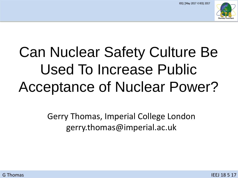

## Can Nuclear Safety Culture Be Used To Increase Public Acceptance of Nuclear Power?

Gerry Thomas, Imperial College London gerry.thomas@imperial.ac.uk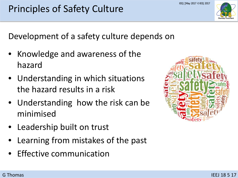hazard

• Understanding in which situations the hazard results in a risk

• Knowledge and awareness of the

Development of a safety culture depends on

- Understanding how the risk can be minimised
- Leadership built on trust
- Learning from mistakes of the past
- Effective communication



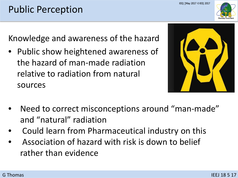#### Public Perception

Knowledge and awareness of the hazard

• Public show heightened awareness of the hazard of man-made radiation relative to radiation from natural sources



- Need to correct misconceptions around "man-made" and "natural" radiation
- Could learn from Pharmaceutical industry on this
- Association of hazard with risk is down to belief rather than evidence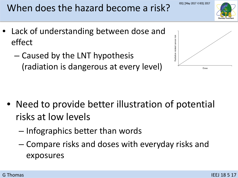IEEJ:May 2017 © IEEJ2017

## When does the hazard become a risk?



- Lack of understanding between dose and effect
	- Caused by the LNT hypothesis (radiation is dangerous at every level)



- Need to provide better illustration of potential risks at low levels
	- Infographics better than words
	- Compare risks and doses with everyday risks and exposures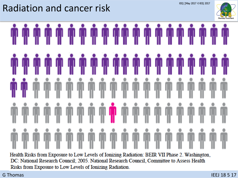IEEJ:May 2017 © IEEJ2017

## Radiation and cancer risk





Health Risks from Exposure to Low Levels of Ionizing Radiation: BEIR VII Phase 2. Washington, DC: National Research Council; 2005. National Research Council, Committee to Assess Health Risks from Exposure to Low Levels of Ionizing Radiation.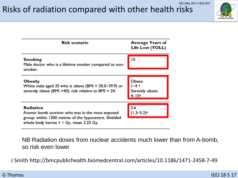#### Risks of radiation compared with other health risks IEEJ:May 2017 © IEEJ2017



| <b>Risk scenario</b>                                                                                                                                                     | <b>Average Years of</b><br><b>Life Lost (YOLL)</b> |
|--------------------------------------------------------------------------------------------------------------------------------------------------------------------------|----------------------------------------------------|
| <b>Smoking</b><br>Male doctor who is a lifetime smoker compared to non-<br>smoker.                                                                                       | 10                                                 |
| <b>Obesity</b><br>White male aged 35 who is obese (BMI = $30.0-39.9$ ) or<br>severely obese (BMI >40): risk relative to BMI = 24.                                        | Obese:<br>I—4 a<br>Severely obese:<br>$4 - 10a$    |
| <b>Radiation</b><br>Atomic bomb survivor who was in the most exposed<br>group: within 1500 metres of the hypocentre. Shielded<br>whole body kerma $>1$ Gy, mean 2.25 Gy. | 2.6<br>$(1.3 - 5.2)^a$                             |

NB Radiation doses from nuclear accidents much lower than from A-bomb, so risk even lower

J Smith http://bmcpublichealth.biomedcentral.com/articles/10.1186/1471-2458-7-49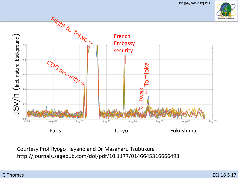IEEJ:May 2017 © IEEJ2017





Courtesy Prof Ryogo Hayano and Dr Masaharu Tsubukura http://journals.sagepub.com/doi/pdf/10.1177/0146645316666493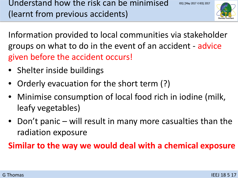

Information provided to local communities via stakeholder groups on what to do in the event of an accident - advice given before the accident occurs!

- Shelter inside buildings
- Orderly evacuation for the short term (?)
- Minimise consumption of local food rich in iodine (milk, leafy vegetables)
- Don't panic will result in many more casualties than the radiation exposure

**Similar to the way we would deal with a chemical exposure**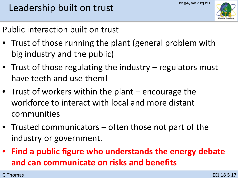

Public interaction built on trust

- Trust of those running the plant (general problem with big industry and the public)
- Trust of those regulating the industry regulators must have teeth and use them!
- Trust of workers within the plant encourage the workforce to interact with local and more distant communities
- Trusted communicators often those not part of the industry or government.
- **Find a public figure who understands the energy debate and can communicate on risks and benefits**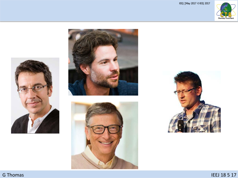IEEJ May 2017 © IEEJ 2017









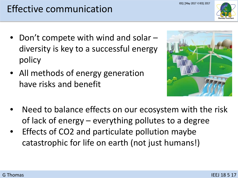### Effective communication

- Don't compete with wind and solar diversity is key to a successful energy policy
- All methods of energy generation have risks and benefit
- Need to balance effects on our ecosystem with the risk of lack of energy – everything pollutes to a degree
- Effects of CO2 and particulate pollution maybe catastrophic for life on earth (not just humans!)





IEEJ:May 2017 © IEEJ2017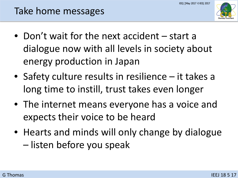

- Don't wait for the next accident start a dialogue now with all levels in society about energy production in Japan
- Safety culture results in resilience it takes a long time to instill, trust takes even longer
- The internet means everyone has a voice and expects their voice to be heard
- Hearts and minds will only change by dialogue – listen before you speak